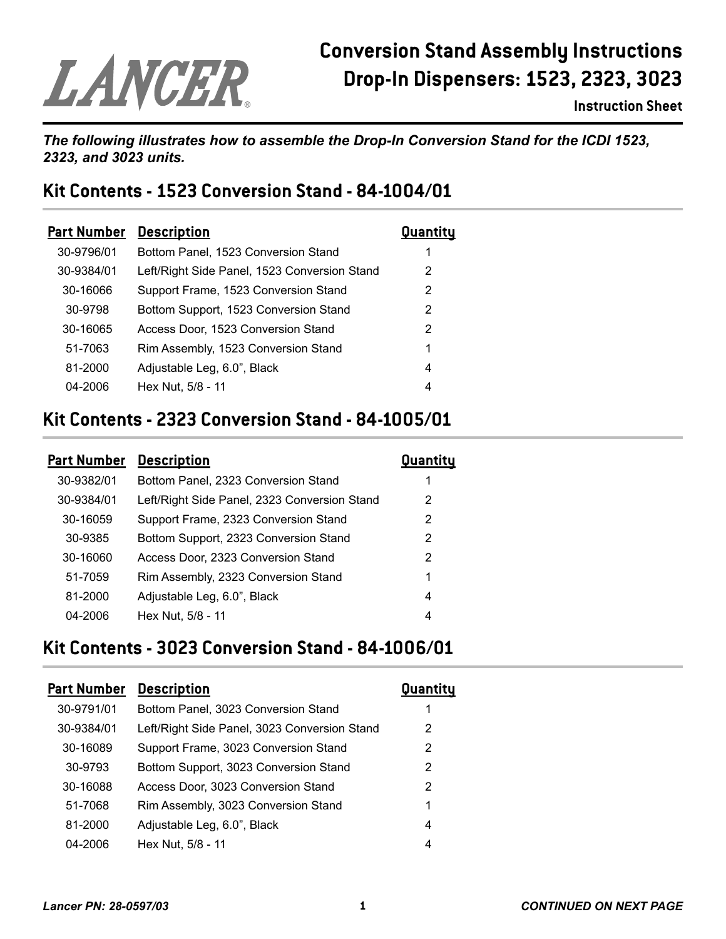# LANCER

## **Conversion Stand Assembly Instructions Drop-In Dispensers: 1523, 2323, 3023**

**Instruction Sheet**

#### *The following illustrates how to assemble the Drop-In Conversion Stand for the ICDI 1523, 2323, and 3023 units.*

#### **Kit Contents - 1523 Conversion Stand - 84-1004/01**

| <b>Part Number</b> | <b>Description</b>                           | Quantity |
|--------------------|----------------------------------------------|----------|
| 30-9796/01         | Bottom Panel, 1523 Conversion Stand          | 1        |
| 30-9384/01         | Left/Right Side Panel, 1523 Conversion Stand | 2        |
| 30-16066           | Support Frame, 1523 Conversion Stand         | 2        |
| 30-9798            | Bottom Support, 1523 Conversion Stand        | 2        |
| 30-16065           | Access Door, 1523 Conversion Stand           | 2        |
| 51-7063            | Rim Assembly, 1523 Conversion Stand          | 1        |
| 81-2000            | Adjustable Leg, 6.0", Black                  | 4        |
| 04-2006            | Hex Nut, 5/8 - 11                            | 4        |
|                    |                                              |          |

#### **Kit Contents - 2323 Conversion Stand - 84-1005/01**

| <b>Part Number</b> | <b>Description</b>                           | Quantity |
|--------------------|----------------------------------------------|----------|
| 30-9382/01         | Bottom Panel, 2323 Conversion Stand          | 1        |
| 30-9384/01         | Left/Right Side Panel, 2323 Conversion Stand | 2        |
| 30-16059           | Support Frame, 2323 Conversion Stand         | 2        |
| 30-9385            | Bottom Support, 2323 Conversion Stand        | 2        |
| 30-16060           | Access Door, 2323 Conversion Stand           | 2        |
| 51-7059            | Rim Assembly, 2323 Conversion Stand          | 1        |
| 81-2000            | Adjustable Leg, 6.0", Black                  | 4        |
| 04-2006            | Hex Nut, 5/8 - 11                            | 4        |
|                    |                                              |          |

#### **Kit Contents - 3023 Conversion Stand - 84-1006/01**

| <b>Part Number</b> | <b>Description</b>                           | Quantity      |
|--------------------|----------------------------------------------|---------------|
| 30-9791/01         | Bottom Panel, 3023 Conversion Stand          | 1             |
| 30-9384/01         | Left/Right Side Panel, 3023 Conversion Stand | 2             |
| 30-16089           | Support Frame, 3023 Conversion Stand         | $\mathcal{P}$ |
| 30-9793            | Bottom Support, 3023 Conversion Stand        | 2             |
| 30-16088           | Access Door, 3023 Conversion Stand           | 2             |
| 51-7068            | Rim Assembly, 3023 Conversion Stand          | 1             |
| 81-2000            | Adjustable Leg, 6.0", Black                  | 4             |
| 04-2006            | Hex Nut, 5/8 - 11                            | 4             |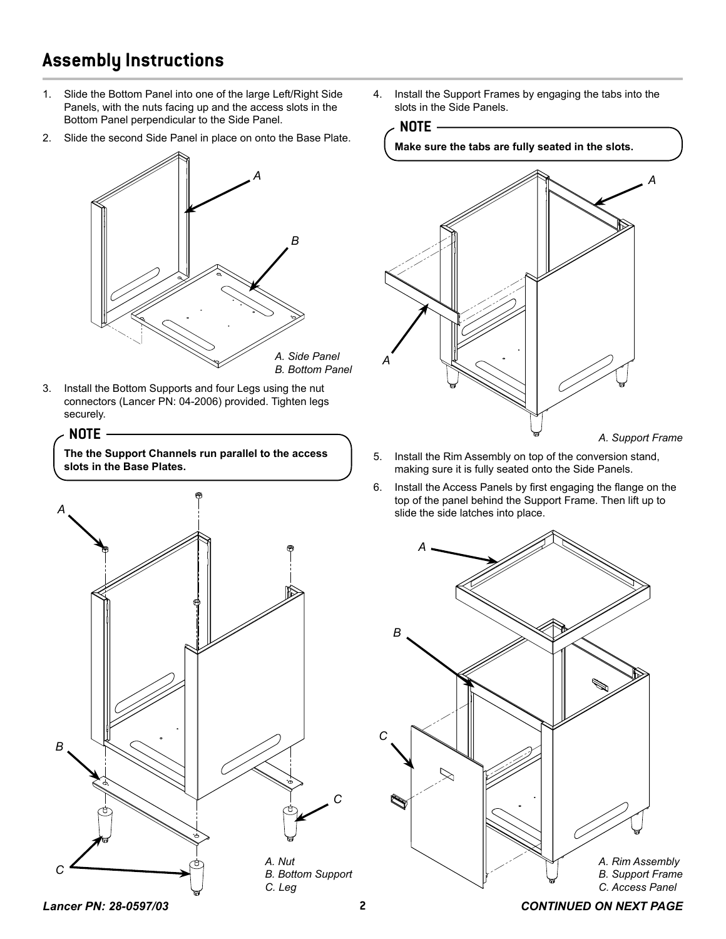### **Assembly Instructions**

- 1. Slide the Bottom Panel into one of the large Left/Right Side Panels, with the nuts facing up and the access slots in the Bottom Panel perpendicular to the Side Panel.
- 2. Slide the second Side Panel in place on onto the Base Plate.



3. Install the Bottom Supports and four Legs using the nut connectors (Lancer PN: 04-2006) provided. Tighten legs securely.



**The the Support Channels run parallel to the access slots in the Base Plates.**



4. Install the Support Frames by engaging the tabs into the slots in the Side Panels.



*A. Support Frame*

- 5. Install the Rim Assembly on top of the conversion stand, making sure it is fully seated onto the Side Panels.
- 6. Install the Access Panels by first engaging the flange on the top of the panel behind the Support Frame. Then lift up to slide the side latches into place.



*Lancer PN: 28-0597/03* **2** *CONTINUED ON NEXT PAGE*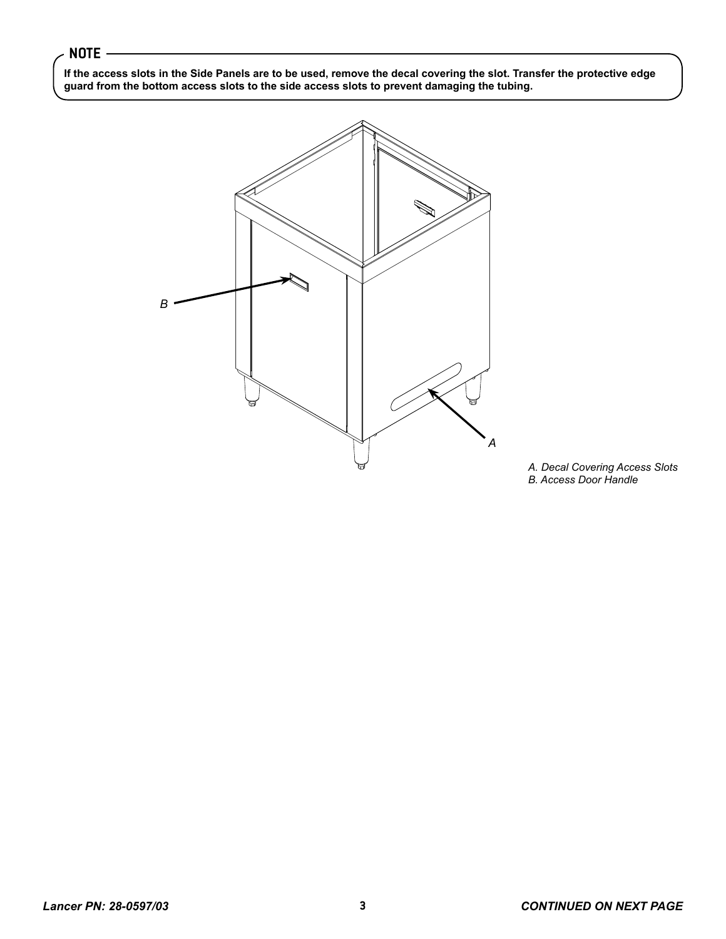#### **NOTE**

**If the access slots in the Side Panels are to be used, remove the decal covering the slot. Transfer the protective edge guard from the bottom access slots to the side access slots to prevent damaging the tubing.** 



*A. Decal Covering Access Slots B. Access Door Handle*